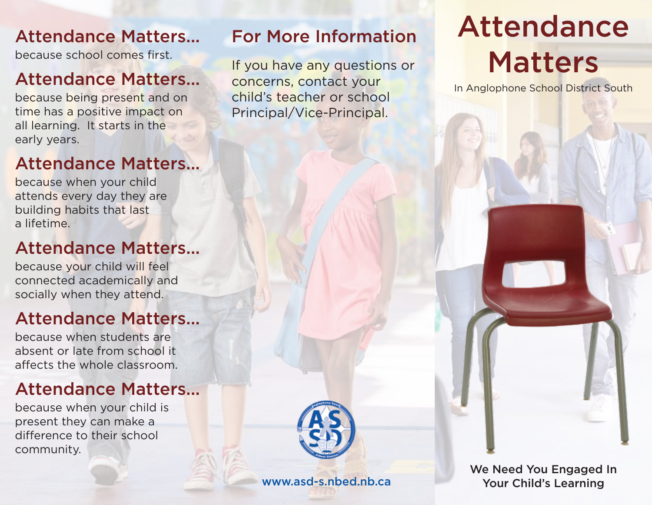## Attendance Matters...

because school comes first.

## Attendance Matters...

because being present and on time has a positive impact on all learning. It starts in the early years.

## Attendance Matters...

because when your child attends every day they are building habits that last a lifetime.

# Attendance Matters...

because your child will feel connected academically and socially when they attend.

# Attendance Matters...

because when students are absent or late from school it affects the whole classroom.

# Attendance Matters...

because when your child is present they can make a difference to their school community.

### For More Information

If you have any questions or concerns, contact your child's teacher or school Principal/Vice-Principal.



### www.asd-s.nbed.nb.ca

Attendance Matters

In Anglophone School District South

We Need You Engaged In Your Child's Learning